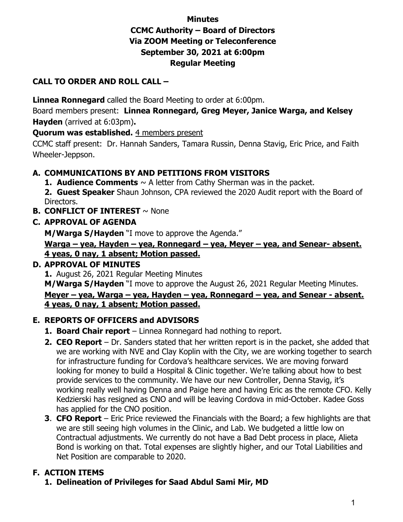# **Minutes CCMC Authority – Board of Directors Via ZOOM Meeting or Teleconference September 30, 2021 at 6:00pm Regular Meeting**

#### **CALL TO ORDER AND ROLL CALL –**

**Linnea Ronnegard** called the Board Meeting to order at 6:00pm.

Board members present: **Linnea Ronnegard, Greg Meyer, Janice Warga, and Kelsey Hayden** (arrived at 6:03pm)**.** 

**Quorum was established.** 4 members present

CCMC staff present: Dr. Hannah Sanders, Tamara Russin, Denna Stavig, Eric Price, and Faith Wheeler-Jeppson.

## **A. COMMUNICATIONS BY AND PETITIONS FROM VISITORS**

**1. Audience Comments**  $\sim$  A letter from Cathy Sherman was in the packet.

**2. Guest Speaker** Shaun Johnson, CPA reviewed the 2020 Audit report with the Board of Directors.

**B. CONFLICT OF INTEREST** ~ None

#### **C. APPROVAL OF AGENDA**

**M/Warga S/Hayden** "I move to approve the Agenda."

**Warga – yea, Hayden – yea, Ronnegard – yea, Meyer – yea, and Senear- absent. 4 yeas, 0 nay, 1 absent; Motion passed.**

## **D. APPROVAL OF MINUTES**

**1.** August 26, 2021 Regular Meeting Minutes

**M/Warga S/Hayden** "I move to approve the August 26, 2021 Regular Meeting Minutes. **Meyer – yea, Warga – yea, Hayden – yea, Ronnegard – yea, and Senear - absent. 4 yeas, 0 nay, 1 absent; Motion passed.**

## **E. REPORTS OF OFFICERS and ADVISORS**

- **1. Board Chair report** Linnea Ronnegard had nothing to report.
- **2. CEO Report** Dr. Sanders stated that her written report is in the packet, she added that we are working with NVE and Clay Koplin with the City, we are working together to search for infrastructure funding for Cordova's healthcare services. We are moving forward looking for money to build a Hospital & Clinic together. We're talking about how to best provide services to the community. We have our new Controller, Denna Stavig, it's working really well having Denna and Paige here and having Eric as the remote CFO. Kelly Kedzierski has resigned as CNO and will be leaving Cordova in mid-October. Kadee Goss has applied for the CNO position.
- **3**. **CFO Report** Eric Price reviewed the Financials with the Board; a few highlights are that we are still seeing high volumes in the Clinic, and Lab. We budgeted a little low on Contractual adjustments. We currently do not have a Bad Debt process in place, Alieta Bond is working on that. Total expenses are slightly higher, and our Total Liabilities and Net Position are comparable to 2020.

## **F. ACTION ITEMS**

**1. Delineation of Privileges for Saad Abdul Sami Mir, MD**